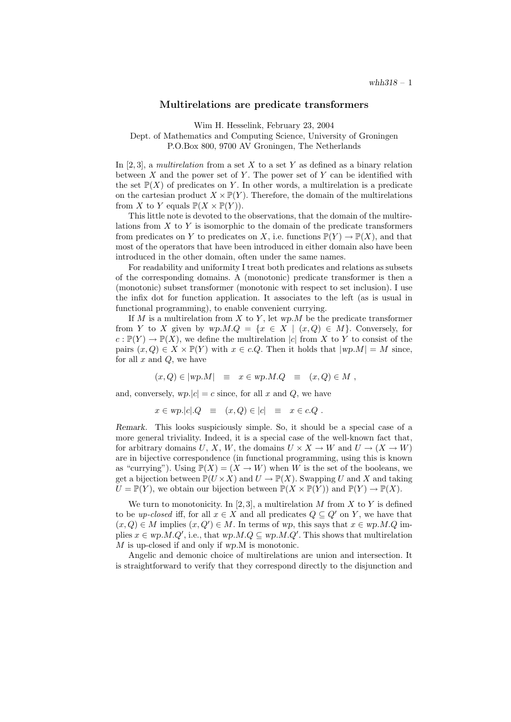## Multirelations are predicate transformers

Wim H. Hesselink, February 23, 2004

Dept. of Mathematics and Computing Science, University of Groningen P.O.Box 800, 9700 AV Groningen, The Netherlands

In [2, 3], a multirelation from a set X to a set Y as defined as a binary relation between  $X$  and the power set of  $Y$ . The power set of  $Y$  can be identified with the set  $\mathbb{P}(X)$  of predicates on Y. In other words, a multirelation is a predicate on the cartesian product  $X \times \mathbb{P}(Y)$ . Therefore, the domain of the multirelations from X to Y equals  $\mathbb{P}(X \times \mathbb{P}(Y)).$ 

This little note is devoted to the observations, that the domain of the multirelations from  $X$  to  $Y$  is isomorphic to the domain of the predicate transformers from predicates on Y to predicates on X, i.e. functions  $\mathbb{P}(Y) \to \mathbb{P}(X)$ , and that most of the operators that have been introduced in either domain also have been introduced in the other domain, often under the same names.

For readability and uniformity I treat both predicates and relations as subsets of the corresponding domains. A (monotonic) predicate transformer is then a (monotonic) subset transformer (monotonic with respect to set inclusion). I use the infix dot for function application. It associates to the left (as is usual in functional programming), to enable convenient currying.

If  $M$  is a multirelation from  $X$  to  $Y$ , let wp.  $M$  be the predicate transformer from Y to X given by  $wp.M.Q = \{x \in X \mid (x, Q) \in M\}$ . Conversely, for  $c: \mathbb{P}(Y) \to \mathbb{P}(X)$ , we define the multirelation |c| from X to Y to consist of the pairs  $(x, Q) \in X \times \mathbb{P}(Y)$  with  $x \in c.Q$ . Then it holds that  $|wp.M| = M$  since, for all  $x$  and  $Q$ , we have

$$
(x,Q) \in |wp.M| \equiv x \in wp.M.Q \equiv (x,Q) \in M ,
$$

and, conversely,  $wp.|c| = c$  since, for all x and Q, we have

$$
x \in \text{wp.} |c| \cdot Q \quad \equiv \quad (x, Q) \in |c| \quad \equiv \quad x \in c \cdot Q \; .
$$

Remark. This looks suspiciously simple. So, it should be a special case of a more general triviality. Indeed, it is a special case of the well-known fact that, for arbitrary domains U, X, W, the domains  $U \times X \to W$  and  $U \to (X \to W)$ are in bijective correspondence (in functional programming, using this is known as "currying"). Using  $\mathbb{P}(X) = (X \to W)$  when W is the set of the booleans, we get a bijection between  $\mathbb{P}(U \times X)$  and  $U \to \mathbb{P}(X)$ . Swapping U and X and taking  $U = \mathbb{P}(Y)$ , we obtain our bijection between  $\mathbb{P}(X \times \mathbb{P}(Y))$  and  $\mathbb{P}(Y) \to \mathbb{P}(X)$ .

We turn to monotonicity. In [2, 3], a multirelation M from X to Y is defined to be up-closed iff, for all  $x \in X$  and all predicates  $Q \subseteq Q'$  on Y, we have that  $(x, Q) \in M$  implies  $(x, Q') \in M$ . In terms of wp, this says that  $x \in wp.M.Q$  implies  $x \in wp.M.Q'$ , i.e., that  $wp.M.Q \subseteq wp.M.Q'$ . This shows that multirelation M is up-closed if and only if wp.M is monotonic.

Angelic and demonic choice of multirelations are union and intersection. It is straightforward to verify that they correspond directly to the disjunction and